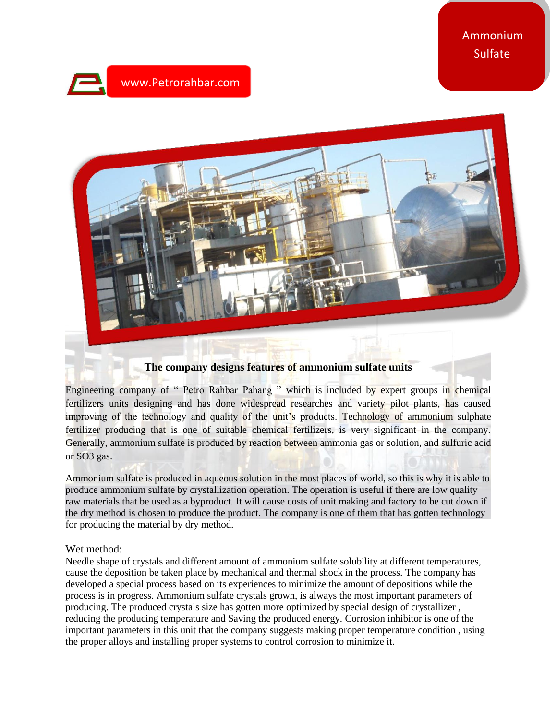## www.Petrorahbar.com mm



## **The company designs features of ammonium sulfate units**

Engineering company of " Petro Rahbar Pahang " which is included by expert groups in chemical fertilizers units designing and has done widespread researches and variety pilot plants, has caused improving of the technology and quality of the unit's products. Technology of ammonium sulphate fertilizer producing that is one of suitable chemical fertilizers, is very significant in the company. Generally, ammonium sulfate is produced by reaction between ammonia gas or solution, and sulfuric acid or SO3 gas.

Ammonium sulfate is produced in aqueous solution in the most places of world, so this is why it is able to produce ammonium sulfate by crystallization operation. The operation is useful if there are low quality raw materials that be used as a byproduct. It will cause costs of unit making and factory to be cut down if the dry method is chosen to produce the product. The company is one of them that has gotten technology for producing the material by dry method.

## Wet method:

Needle shape of crystals and different amount of ammonium sulfate solubility at different temperatures, cause the deposition be taken place by mechanical and thermal shock in the process. The company has developed a special process based on its experiences to minimize the amount of depositions while the process is in progress. Ammonium sulfate crystals grown, is always the most important parameters of producing. The produced crystals size has gotten more optimized by special design of crystallizer , reducing the producing temperature and Saving the produced energy. Corrosion inhibitor is one of the important parameters in this unit that the company suggests making proper temperature condition , using the proper alloys and installing proper systems to control corrosion to minimize it.